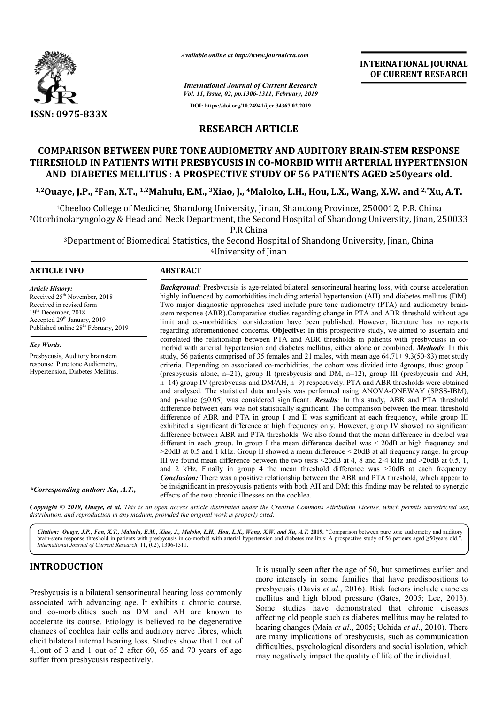

*Available online at http://www.journalcra.com*

**INTERNATIONAL JOURNAL OF CURRENT RESEARCH**

*International Journal of Current Research*

*Vol. 11, Issue, 02, pp.1306-1311, February, 2019* **DOI: https://doi.org/10.24941/ijcr.34367.02.2019**

# **RESEARCH ARTICLE**

# **COMPARISON BETWEEN PURE TONE AUDIOMETRY AND AUDITORY BRAIN BRAIN-STEM RESPONSE THRESHOLD IN PATIENTS WITH PRESBYCUSIS IN CO CO-MORBID WITH ARTERIAL HYPERTENSION**  RESHOLD IN PATIENTS WITH PRESBYCUSIS IN CO-MORBID WITH ARTERIAL HYPERTENS<br>AND DIABETES MELLITUS : A PROSPECTIVE STUDY OF 56 PATIENTS AGED ≥50years old.

<sup>1,2</sup>Ouaye, J.P., <sup>2</sup>Fan, X.T., <sup>1,2</sup>Mahulu, E.M., <sup>3</sup>Xiao, J., <sup>4</sup>Maloko, L.H., Hou, L.X., Wang, X.W. and <sup>2,</sup>\*Xu, A.T.

<sup>1</sup>Cheeloo College of Medicine, Shandong University, Jinan, Shandong Province, 2500012, P.R. China <sup>1</sup>Cheeloo College of Medicine, Shandong University, Jinan, Shandong Province, 2500012, P.R. China<br>20133 <sup>2</sup>Otorhinolaryngology & Head and Neck Department, the Second Hospital of Shandong University, Jinan, 250033 P.R China

<sup>3</sup>Department of Biomedical Statistics, the Second Hospital of Shandong University, Jinan, China <sup>4</sup>University of Jinan

## **ARTICLE INFO ABSTRACT**

*Article History:* Received 25<sup>th</sup> November, 2018 Received in revised form 19th December, 2018 Accepted 29<sup>th</sup> January, 2019 Published online 28<sup>th</sup> February, 2019

*Key Words:* Presbycusis, Auditory brainstem response, Pure tone Audiometry, Hypertension, Diabetes Mellitus. stem response (ABR).Comparative studies regarding change in PTA and ABR threshold without age limit and co-morbidities' consideration have been published. However, literature has no reports regarding aforementioned concerns. **Objective:** In this prospective study, we aimed to ascertain and correlated the relationship between PTA and ABR thresholds in patients with presbycusis in co morbid with arterial hypertension and diabetes mellitus, either alone or combined. *Methods*: In this study, 56 patients comprised of 35 females and 21 males, with mean age  $64.71 \pm 9.3(50-83)$  met study study, 56 patients comprised of 35 females and 21 males, with mean age 64.71± 9.3(50-83) met study criteria. Depending on associated co-morbidities, the cohort was divided into 4groups, thus: group I (presbycusis alone, n=21), group II (presbycusis and DM, n=12), group III (presbycusis and AH,  $n=14$ ) group IV (presbycusis and DM/AH,  $n=9$ ) respectively. PTA and ABR thresholds were obtained and analysed. The statistical data analysis was performed using ANOVA-ONEWAY (SPSS-IBM), and p-value  $(\leq 0.05)$  was considered significant. **Results**: In this study, ABR and PTA threshold difference between ears was not statistically significant. The comparison between the mean threshold difference of ABR and PTA in group I and II was significant at each frequency, while group III exhibited a significant difference at high frequency only. However, group IV showed no significant difference between ABR and PTA thresholds. We also found that the mean difference in decibel was different in each group. In group I the mean difference decibel was < 20dB at high frequency and >20dB at 0.5 and 1 kHz. Group II showed a mean difference < 20dB at all frequency range. In group III we found mean difference between the two tests  $\leq$  20dB at 4, 8 and 2-4 kHz and  $\geq$  20dB at 0.5, 1, and 2 kHz. Finally in group 4 the mean threshold difference was  $>20$ dB at each frequency. *Conclusion:* There was a positive relationship between the ABR and PTA threshold, which appear to and 2 kHz. Finally in group 4 the mean threshold difference was >20dB at each frequency.<br> **Conclusion:** There was a positive relationship between the ABR and PTA threshold, which appear to be insignificant in presbycusis p effects of the two chronic illnesses on the cochlea. stem response (ABR).Comparative studies regarding change in PTA and ABR threshold without age<br>limit and co-morbidities' consideration have been published. However, literature has no reports<br>regarding aforementioned concern criteria. Depending on associated co-morbidities, the cohort was divided into 4groups, thus: group I<br>(presbycusis alone, n=21), group II (presbycusis and DM, n=12), group III (presbycusis and AH,<br>n=14) group IV (presbycusi and p-value ( $\leq 0.05$ ) was considered significant. **Results**: In this study, ABR and PTA threshold difference between ears was not statistically significant. The comparison between the mean threshold difference of ABR a INTERNATIONAL JOURNAL<br>
IDENTIFIEST (OF CURRENT RESEARCH<br>
Cohemy, 2019<br>
2007-02-03-2199<br>
2007-02-03-2199<br>
10-05-2199<br>
10-05-2199<br>
ICLE<br>
ICLE TORENT BATTENTS AGED 250 years old.<br>
0.1. H., Hou, L.X., Wang, X.W. and <sup>2</sup>.Yu, A.

**Background**: Presbycusis is age-related bilateral sensorineural hearing loss, with course acceleration highly influenced by comorbidities including arterial hypertension (AH) and diabetes mellitus (DM). Two major diagnostic approaches used include pure tone audiometry (PTA) and audiometry brain-

**Background**: Presbycusis is age-related bilateral sensorineural hearing loss, with course acceleration highly influenced by comorbidities including arterial hypertension (AH) and diabetes mellitus (DM). Two major diagnost

Copyright © 2019, Ouaye, et al. This is an open access article distributed under the Creative Commons Attribution License, which permits unrestricted use, *distribution, and reproduction in any medium, provided the original work is properly cited.*

Citation: Ouaye, J.P., Fan, X.T., Mahulu, E.M., Xiao, J., Maloko, L.H., Hou, L.X., Wang, X.W. and Xu, A.T. 2019. "Comparison between pure tone audiometry and auditory<br>brain-stem response threshold in patients with presbyc brain-stem response threshold in patients with presbycusis in co-morbid with arterial hypertension and diabetes mellitus: A prospective study of 56 patients aged International Journal of Current Research, 11, (02), 1306-1311.

# **INTRODUCTION**

*\*Corresponding author: Xu, A.T.,*

Presbycusis is a bilateral sensorineural hearing loss commonly associated with advancing age. It exhibits a chronic course, and co-morbidities such as DM and AH are known to accelerate its course. Etiology is believed to be degenerative changes of cochlea hair cells and auditory nerve fibres, which elicit bilateral internal hearing loss. Studies show that 1 out of 4,1out of 3 and 1 out of 2 after 60, 65 and 70 years of age suffer from presbycusis respectively.

EVICTION<br>It is usually seen after the age of 50, but sometimes earlier and<br>It is usually seen after the age of 50, but sometimes earlier and<br>It is usually seen after the age of 50, but sometimes earlier and<br>It is usually s more intensely in some families that have predispositions to It is usually seen after the age of 50, but sometimes earlier and more intensely in some families that have predispositions to presbycusis (Davis *et al.*, 2016). Risk factors include diabetes mellitus and high blood pressure (Gates, 2005; Lee, 2013). Some studies have demonstrated that chronic diseases affecting old people such as diabetes mellitus may be related to hearing changes (Maia *et al.*, 2005; Uchida *et al.*, 2010). There are many implications of presbycusis, such as communication difficulties, psychological disorders and social isolation, which may negatively impact the quality of life of the individual. that chronic diseases<br>such as diabetes mellitus may be related to<br>indeed and *et al.*, 2010). There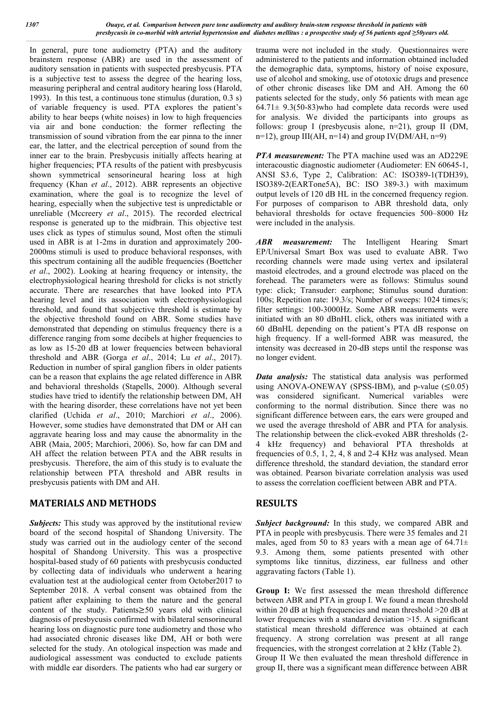In general, pure tone audiometry (PTA) and the auditory brainstem response (ABR) are used in the assessment of auditory sensation in patients with suspected presbycusis. PTA is a subjective test to assess the degree of the hearing loss, measuring peripheral and central auditory hearing loss (Harold, 1993). In this test, a continuous tone stimulus (duration, 0.3 s) of variable frequency is used. PTA explores the patient's ability to hear beeps (white noises) in low to high frequencies via air and bone conduction: the former reflecting the transmission of sound vibration from the ear pinna to the inner ear, the latter, and the electrical perception of sound from the inner ear to the brain. Presbycusis initially affects hearing at higher frequencies; PTA results of the patient with presbycusis shown symmetrical sensorineural hearing loss at high frequency (Khan *et al*., 2012). ABR represents an objective examination, where the goal is to recognize the level of hearing, especially when the subjective test is unpredictable or unreliable (Mccreery *et al*., 2015). The recorded electrical response is generated up to the midbrain. This objective test uses click as types of stimulus sound, Most often the stimuli used in ABR is at 1-2ms in duration and approximately 200- 2000ms stimuli is used to produce behavioral responses, with this spectrum containing all the audible frequencies (Boettcher *et al*., 2002). Looking at hearing frequency or intensity, the electrophysiological hearing threshold for clicks is not strictly accurate. There are researches that have looked into PTA hearing level and its association with electrophysiological threshold, and found that subjective threshold is estimate by the objective threshold found on ABR. Some studies have demonstrated that depending on stimulus frequency there is a difference ranging from some decibels at higher frequencies to as low as 15-20 dB at lower frequencies between behavioral threshold and ABR (Gorga *et al*., 2014; Lu *et al*., 2017). Reduction in number of spiral ganglion fibers in older patients can be a reason that explains the age related difference in ABR and behavioral thresholds (Stapells, 2000). Although several studies have tried to identify the relationship between DM, AH with the hearing disorder, these correlations have not yet been clarified (Uchida *et al*., 2010; Marchiori *et al*., 2006). However, some studies have demonstrated that DM or AH can aggravate hearing loss and may cause the abnormality in the ABR (Maia, 2005; Marchiori, 2006). So, how far can DM and AH affect the relation between PTA and the ABR results in presbycusis. Therefore, the aim of this study is to evaluate the relationship between PTA threshold and ABR results in presbycusis patients with DM and AH.

# **MATERIALS AND METHODS**

*Subjects:* This study was approved by the institutional review board of the second hospital of Shandong University. The study was carried out in the audiology center of the second hospital of Shandong University. This was a prospective hospital-based study of 60 patients with presbycusis conducted by collecting data of individuals who underwent a hearing evaluation test at the audiological center from October2017 to September 2018. A verbal consent was obtained from the patient after explaining to them the nature and the general content of the study. Patients≥50 years old with clinical diagnosis of presbycusis confirmed with bilateral sensorineural hearing loss on diagnostic pure tone audiometry and those who had associated chronic diseases like DM, AH or both were selected for the study. An otological inspection was made and audiological assessment was conducted to exclude patients with middle ear disorders. The patients who had ear surgery or

trauma were not included in the study. Questionnaires were administered to the patients and information obtained included the demographic data, symptoms, history of noise exposure, use of alcohol and smoking, use of ototoxic drugs and presence of other chronic diseases like DM and AH. Among the 60 patients selected for the study, only 56 patients with mean age  $64.71 \pm 9.3(50-83)$  who had complete data records were used for analysis. We divided the participants into groups as follows: group I (presbycusis alone, n=21), group II (DM, n=12), group III(AH, n=14) and group  $IV(DM/AH, n=9)$ 

*PTA measurement:* The PTA machine used was an AD229E interacoustic diagnostic audiometer (Audiometer: EN 60645-1, ANSI S3.6, Type 2, Calibration: AC: ISO389-1(TDH39), ISO389-2(EARTone5A), BC: ISO 389-3.) with maximum output levels of 120 dB HL in the concerned frequency region. For purposes of comparison to ABR threshold data, only behavioral thresholds for octave frequencies 500–8000 Hz were included in the analysis.

*ABR measurement:* The Intelligent Hearing Smart EP/Universal Smart Box was used to evaluate ABR. Two recording channels were made using vertex and ipsilateral mastoid electrodes, and a ground electrode was placed on the forehead. The parameters were as follows: Stimulus sound type: click; Transuder: earphone; Stimulus sound duration: 100s; Repetition rate: 19.3/s; Number of sweeps: 1024 times/s; filter settings: 100-3000Hz. Some ABR measurements were initiated with an 80 dBnHL click, others was initiated with a 60 dBnHL depending on the patient's PTA dB response on high frequency. If a well-formed ABR was measured, the intensity was decreased in 20-dB steps until the response was no longer evident.

*Data analysis:* The statistical data analysis was performed using ANOVA-ONEWAY (SPSS-IBM), and p-value  $(\leq 0.05)$ was considered significant. Numerical variables were conforming to the normal distribution. Since there was no significant difference between ears, the ears were grouped and we used the average threshold of ABR and PTA for analysis. The relationship between the click-evoked ABR thresholds (2- 4 kHz frequency) and behavioral PTA thresholds at frequencies of 0.5, 1, 2, 4, 8 and 2-4 KHz was analysed. Mean difference threshold, the standard deviation, the standard error was obtained. Pearson bivariate correlation analysis was used to assess the correlation coefficient between ABR and PTA.

# **RESULTS**

*Subject background:* In this study, we compared ABR and PTA in people with presbycusis. There were 35 females and 21 males, aged from 50 to 83 years with a mean age of  $64.71 \pm$ 9.3. Among them, some patients presented with other symptoms like tinnitus, dizziness, ear fullness and other aggravating factors (Table 1).

**Group I:** We first assessed the mean threshold difference between ABR and PTA in group I. We found a mean threshold within 20 dB at high frequencies and mean threshold  $>20$  dB at lower frequencies with a standard deviation >15. A significant statistical mean threshold difference was obtained at each frequency. A strong correlation was present at all range frequencies, with the strongest correlation at 2 kHz (Table 2). Group II We then evaluated the mean threshold difference in group II, there was a significant mean difference between ABR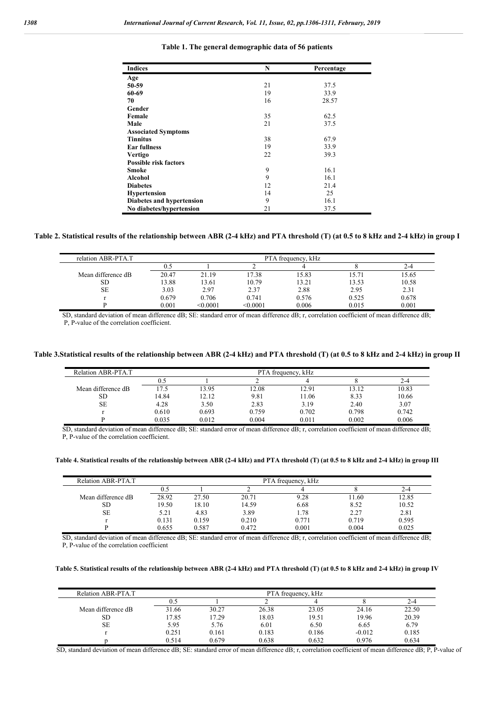| <b>Indices</b>               | N  | Percentage |
|------------------------------|----|------------|
| Age                          |    |            |
| 50-59                        | 21 | 37.5       |
| 60-69                        | 19 | 33.9       |
| 70                           | 16 | 28.57      |
| Gender                       |    |            |
| Female                       | 35 | 62.5       |
| Male                         | 21 | 37.5       |
| <b>Associated Symptoms</b>   |    |            |
| <b>Tinnitus</b>              | 38 | 67.9       |
| <b>Ear fullness</b>          | 19 | 33.9       |
| <b>Vertigo</b>               | 22 | 39.3       |
| <b>Possible risk factors</b> |    |            |
| Smoke                        | 9  | 16.1       |
| <b>Alcohol</b>               | 9  | 16.1       |
| <b>Diabetes</b>              | 12 | 21.4       |
| <b>Hypertension</b>          | 14 | 25         |
| Diabetes and hypertension    | 9  | 16.1       |
| No diabetes/hypertension     | 21 | 37.5       |

#### **Table 1. The general demographic data of 56 patients**

### **Table 2. Statistical results of the relationship between ABR (2-4 kHz) and PTA threshold (T) (at 0.5 to 8 kHz and 2-4 kHz) in group I**

| relation ABR-PTA.T | PTA frequency, kHz |          |          |       |       |       |  |  |
|--------------------|--------------------|----------|----------|-------|-------|-------|--|--|
|                    | U.C                |          |          |       |       | 2-4   |  |  |
| Mean difference dB | 20.47              | 21.19    | 17.38    | 15.83 | 15.71 | 15.65 |  |  |
| SD                 | 13.88              | 13.61    | 10.79    | 13.21 | 13.53 | 10.58 |  |  |
| SE                 | 3.03               | 2.97     | 2.37     | 2.88  | 2.95  | 2.31  |  |  |
|                    | 0.679              | 0.706    | 0.741    | 0.576 | 0.525 | 0.678 |  |  |
|                    | 0.001              | < 0.0001 | < 0.0001 | 0.006 | 0.015 | 0.001 |  |  |

SD, standard deviation of mean difference dB; SE: standard error of mean difference dB; r, correlation coefficient of mean difference dB; P, P-value of the correlation coefficient.

#### **Table 3.Statistical results of the relationship between ABR (2-4 kHz) and PTA threshold (T) (at 0.5 to 8 kHz and 2-4 kHz) in group II**

| Relation ABR-PTA.T | PTA frequency, kHz |       |       |       |       |       |  |
|--------------------|--------------------|-------|-------|-------|-------|-------|--|
|                    |                    |       |       |       |       | 2-4   |  |
| Mean difference dB | 17.5               | 13.95 | 12.08 | 12.91 | 13.12 | 10.83 |  |
| SD                 | 14.84              | 12.12 | 9.81  | 11.06 | 8.33  | 10.66 |  |
| <b>SE</b>          | 4.28               | 3.50  | 2.83  | 3.19  | 2.40  | 3.07  |  |
|                    | 0.610              | 0.693 | 0.759 | 0.702 | 0.798 | 0.742 |  |
|                    | 0.035              | 0.012 | 0.004 | 0.011 | 0.002 | 0.006 |  |

SD, standard deviation of mean difference dB; SE: standard error of mean difference dB; r, correlation coefficient of mean difference dB; P, P-value of the correlation coefficient.

#### **Table 4. Statistical results of the relationship between ABR (2-4 kHz) and PTA threshold (T) (at 0.5 to 8 kHz and 2-4 kHz) in group III**

| Relation ABR-PTA.T | PTA frequency, kHz |       |       |       |       |       |  |
|--------------------|--------------------|-------|-------|-------|-------|-------|--|
|                    |                    |       |       |       |       | 2-4   |  |
| Mean difference dB | 28.92              | 27.50 | 20.71 | 9.28  | 11.60 | 12.85 |  |
| SD                 | 19.50              | 18.10 | 14.59 | 6.68  | 8.52  | 10.52 |  |
| <b>SE</b>          | 5.21               | 4.83  | 3.89  | 1.78  | 2.27  | 2.81  |  |
|                    | 0.131              | 0.159 | 0.210 | 0.771 | 0.719 | 0.595 |  |
|                    | 0.655              | 0.587 | 0.472 | 0.001 | 0.004 | 0.025 |  |

SD, standard deviation of mean difference dB; SE: standard error of mean difference dB; r, correlation coefficient of mean difference dB; P, P-value of the correlation coefficient

#### **Table 5. Statistical results of the relationship between ABR (2-4 kHz) and PTA threshold (T) (at 0.5 to 8 kHz and 2-4 kHz) in group IV**

| Relation ABR-PTA.T | PTA frequency, kHz |       |       |       |          |       |
|--------------------|--------------------|-------|-------|-------|----------|-------|
|                    |                    |       |       |       |          | 2-4   |
| Mean difference dB | 31.66              | 30.27 | 26.38 | 23.05 | 24.16    | 22.50 |
| SD                 | 17.85              | 17.29 | 18.03 | 19.51 | 19.96    | 20.39 |
| <b>SE</b>          | 5.95               | 5.76  | 6.01  | 6.50  | 6.65     | 6.79  |
|                    | 0.251              | 0.161 | 0.183 | 0.186 | $-0.012$ | 0.185 |
|                    | 0.514              | 0.679 | 0.638 | 0.632 | 0.976    | 0.634 |

SD, standard deviation of mean difference dB; SE: standard error of mean difference dB; r, correlation coefficient of mean difference dB; P, P-value of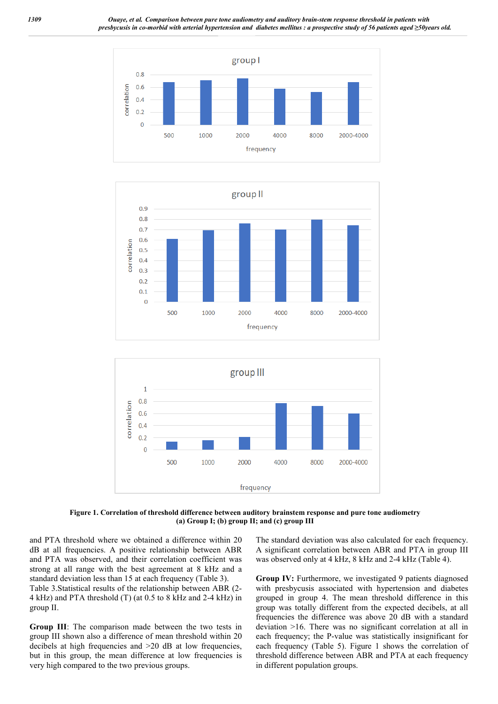





**Figure 1. Correlation of threshold difference between auditory brainstem response and pure tone audiometry (a) Group I; (b) group II; and (c) group III**

and PTA threshold where we obtained a difference within 20 dB at all frequencies. A positive relationship between ABR and PTA was observed, and their correlation coefficient was strong at all range with the best agreement at 8 kHz and a standard deviation less than 15 at each frequency (Table 3). Table 3.Statistical results of the relationship between ABR (2- 4 kHz) and PTA threshold (T) (at 0.5 to 8 kHz and 2-4 kHz) in group II.

**Group III**: The comparison made between the two tests in group III shown also a difference of mean threshold within 20 decibels at high frequencies and >20 dB at low frequencies, but in this group, the mean difference at low frequencies is very high compared to the two previous groups.

The standard deviation was also calculated for each frequency. A significant correlation between ABR and PTA in group III was observed only at 4 kHz, 8 kHz and 2-4 kHz (Table 4).

**Group IV:** Furthermore, we investigated 9 patients diagnosed with presbycusis associated with hypertension and diabetes grouped in group 4. The mean threshold difference in this group was totally different from the expected decibels, at all frequencies the difference was above 20 dB with a standard deviation >16. There was no significant correlation at all in each frequency; the P-value was statistically insignificant for each frequency (Table 5). Figure 1 shows the correlation of threshold difference between ABR and PTA at each frequency in different population groups.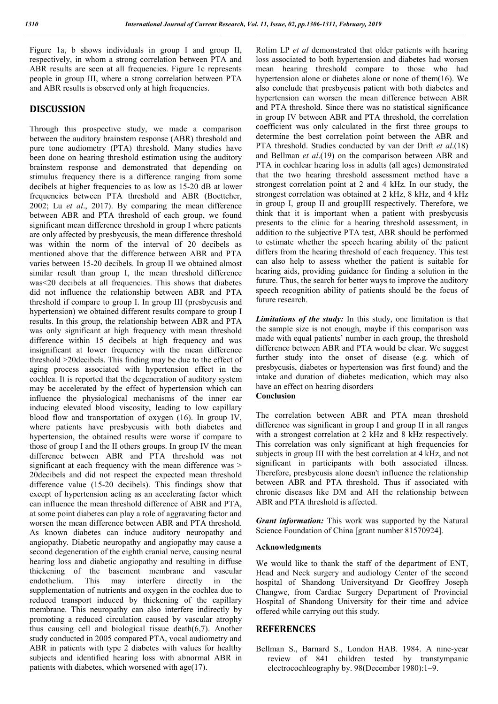Figure 1a, b shows individuals in group I and group II, respectively, in whom a strong correlation between PTA and ABR results are seen at all frequencies. Figure 1c represents people in group III, where a strong correlation between PTA and ABR results is observed only at high frequencies.

## **DISCUSSION**

Through this prospective study, we made a comparison between the auditory brainstem response (ABR) threshold and pure tone audiometry (PTA) threshold. Many studies have been done on hearing threshold estimation using the auditory brainstem response and demonstrated that depending on stimulus frequency there is a difference ranging from some decibels at higher frequencies to as low as 15-20 dB at lower frequencies between PTA threshold and ABR (Boettcher, 2002; Lu *et al*., 2017). By comparing the mean difference between ABR and PTA threshold of each group, we found significant mean difference threshold in group I where patients are only affected by presbycusis, the mean difference threshold was within the norm of the interval of 20 decibels as mentioned above that the difference between ABR and PTA varies between 15-20 decibels. In group II we obtained almost similar result than group I, the mean threshold difference was<20 decibels at all frequencies. This shows that diabetes did not influence the relationship between ABR and PTA threshold if compare to group I. In group III (presbycusis and hypertension) we obtained different results compare to group I results. In this group, the relationship between ABR and PTA was only significant at high frequency with mean threshold difference within 15 decibels at high frequency and was insignificant at lower frequency with the mean difference threshold >20decibels. This finding may be due to the effect of aging process associated with hypertension effect in the cochlea. It is reported that the degeneration of auditory system may be accelerated by the effect of hypertension which can influence the physiological mechanisms of the inner ear inducing elevated blood viscosity, leading to low capillary blood flow and transportation of oxygen (16). In group IV, where patients have presbycusis with both diabetes and hypertension, the obtained results were worse if compare to those of group I and the II others groups. In group IV the mean difference between ABR and PTA threshold was not significant at each frequency with the mean difference was > 20decibels and did not respect the expected mean threshold difference value (15-20 decibels). This findings show that except of hypertension acting as an accelerating factor which can influence the mean threshold difference of ABR and PTA, at some point diabetes can play a role of aggravating factor and worsen the mean difference between ABR and PTA threshold. As known diabetes can induce auditory neuropathy and angiopathy. Diabetic neuropathy and angiopathy may cause a second degeneration of the eighth cranial nerve, causing neural hearing loss and diabetic angiopathy and resulting in diffuse thickening of the basement membrane and vascular endothelium. This may interfere directly in the supplementation of nutrients and oxygen in the cochlea due to reduced transport induced by thickening of the capillary membrane. This neuropathy can also interfere indirectly by promoting a reduced circulation caused by vascular atrophy thus causing cell and biological tissue death(6,7). Another study conducted in 2005 compared PTA, vocal audiometry and ABR in patients with type 2 diabetes with values for healthy subjects and identified hearing loss with abnormal ABR in patients with diabetes, which worsened with age(17).

Rolim LP *et al* demonstrated that older patients with hearing loss associated to both hypertension and diabetes had worsen mean hearing threshold compare to those who had hypertension alone or diabetes alone or none of them(16). We also conclude that presbycusis patient with both diabetes and hypertension can worsen the mean difference between ABR and PTA threshold. Since there was no statistical significance in group IV between ABR and PTA threshold, the correlation coefficient was only calculated in the first three groups to determine the best correlation point between the ABR and PTA threshold. Studies conducted by van der Drift *et al*.(18) and Bellman *et al*.(19) on the comparison between ABR and PTA in cochlear hearing loss in adults (all ages) demonstrated that the two hearing threshold assessment method have a strongest correlation point at 2 and 4 kHz. In our study, the strongest correlation was obtained at 2 kHz, 8 kHz, and 4 kHz in group I, group II and groupIII respectively. Therefore, we think that it is important when a patient with presbycusis presents to the clinic for a hearing threshold assessment, in addition to the subjective PTA test, ABR should be performed to estimate whether the speech hearing ability of the patient differs from the hearing threshold of each frequency. This test can also help to assess whether the patient is suitable for hearing aids, providing guidance for finding a solution in the future. Thus, the search for better ways to improve the auditory speech recognition ability of patients should be the focus of future research.

*Limitations of the study:* In this study, one limitation is that the sample size is not enough, maybe if this comparison was made with equal patients' number in each group, the threshold difference between ABR and PTA would be clear. We suggest further study into the onset of disease (e.g. which of presbycusis, diabetes or hypertension was first found) and the intake and duration of diabetes medication, which may also have an effect on hearing disorders **Conclusion**

The correlation between ABR and PTA mean threshold difference was significant in group I and group II in all ranges with a strongest correlation at 2 kHz and 8 kHz respectively. This correlation was only significant at high frequencies for subjects in group III with the best correlation at 4 kHz, and not significant in participants with both associated illness. Therefore, presbycusis alone doesn't influence the relationship between ABR and PTA threshold. Thus if associated with chronic diseases like DM and AH the relationship between ABR and PTA threshold is affected.

*Grant information:* This work was supported by the Natural Science Foundation of China [grant number 81570924].

### **Acknowledgments**

We would like to thank the staff of the department of ENT, Head and Neck surgery and audiology Center of the second hospital of Shandong Universityand Dr Geoffrey Joseph Changwe, from Cardiac Surgery Department of Provincial Hospital of Shandong University for their time and advice offered while carrying out this study.

## **REFERENCES**

Bellman S., Barnard S., London HAB. 1984. A nine-year review of 841 children tested by transtympanic electrocochleography by. 98(December 1980):1–9.